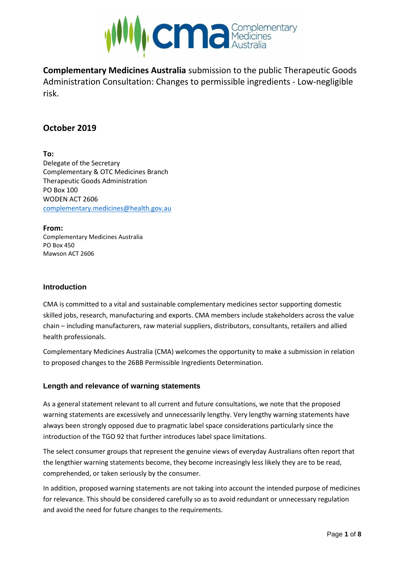

**Complementary Medicines Australia** submission to the public Therapeutic Goods Administration Consultation: Changes to permissible ingredients - Low-negligible risk.

# **October 2019**

**To:** Delegate of the Secretary Complementary & OTC Medicines Branch Therapeutic Goods Administration PO Box 100 WODEN ACT 2606 [complementary.medicines@health.gov.au](mailto:complementary.medicines@health.gov.au)

**From:** Complementary Medicines Australia PO Box 450 Mawson ACT 2606

## **Introduction**

CMA is committed to a vital and sustainable complementary medicines sector supporting domestic skilled jobs, research, manufacturing and exports. CMA members include stakeholders across the value chain – including manufacturers, raw material suppliers, distributors, consultants, retailers and allied health professionals.

Complementary Medicines Australia (CMA) welcomes the opportunity to make a submission in relation to proposed changes to the 26BB Permissible Ingredients Determination.

## **Length and relevance of warning statements**

As a general statement relevant to all current and future consultations, we note that the proposed warning statements are excessively and unnecessarily lengthy. Very lengthy warning statements have always been strongly opposed due to pragmatic label space considerations particularly since the introduction of the TGO 92 that further introduces label space limitations.

The select consumer groups that represent the genuine views of everyday Australians often report that the lengthier warning statements become, they become increasingly less likely they are to be read, comprehended, or taken seriously by the consumer.

In addition, proposed warning statements are not taking into account the intended purpose of medicines for relevance. This should be considered carefully so as to avoid redundant or unnecessary regulation and avoid the need for future changes to the requirements.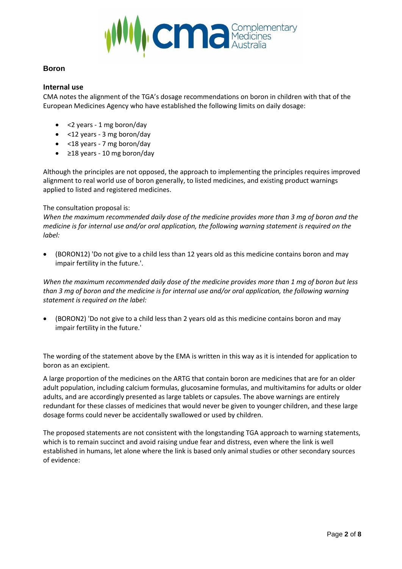

## **Boron**

#### **Internal use**

CMA notes the alignment of the TGA's dosage recommendations on boron in children with that of the European Medicines Agency who have established the following limits on daily dosage:

- <2 years 1 mg boron/day
- <12 years 3 mg boron/day
- <18 years 7 mg boron/day
- ≥18 years 10 mg boron/day

Although the principles are not opposed, the approach to implementing the principles requires improved alignment to real world use of boron generally, to listed medicines, and existing product warnings applied to listed and registered medicines.

#### The consultation proposal is:

*When the maximum recommended daily dose of the medicine provides more than 3 mg of boron and the medicine is for internal use and/or oral application, the following warning statement is required on the label:*

• (BORON12) 'Do not give to a child less than 12 years old as this medicine contains boron and may impair fertility in the future.'.

*When the maximum recommended daily dose of the medicine provides more than 1 mg of boron but less than 3 mg of boron and the medicine is for internal use and/or oral application, the following warning statement is required on the label:*

• (BORON2) 'Do not give to a child less than 2 years old as this medicine contains boron and may impair fertility in the future.'

The wording of the statement above by the EMA is written in this way as it is intended for application to boron as an excipient.

A large proportion of the medicines on the ARTG that contain boron are medicines that are for an older adult population, including calcium formulas, glucosamine formulas, and multivitamins for adults or older adults, and are accordingly presented as large tablets or capsules. The above warnings are entirely redundant for these classes of medicines that would never be given to younger children, and these large dosage forms could never be accidentally swallowed or used by children.

The proposed statements are not consistent with the longstanding TGA approach to warning statements, which is to remain succinct and avoid raising undue fear and distress, even where the link is well established in humans, let alone where the link is based only animal studies or other secondary sources of evidence: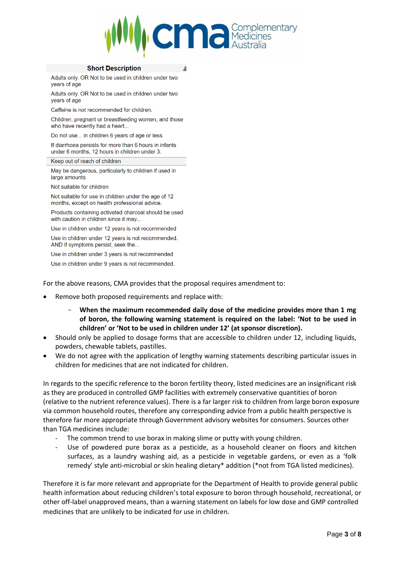

#### **Short Description**

Adults only. OR Not to be used in children under two vears of age

Adults only. OR Not to be used in children under two years of age

Caffeine is not recommended for children.

Children, pregnant or breastfeeding women, and those who have recently had a heart...

Do not use... in children 6 years of age or less.

If diarrhoea persists for more than 6 hours in infants under 6 months, 12 hours in children under 3.

#### Keep out of reach of children

May be dangerous, particularly to children if used in large amounts

Not suitable for children

Not suitable for use in children under the age of 12 months, except on health professional advice.

Products containing activated charcoal should be used with caution in children since it may...

Use in children under 12 years is not recommended

Use in children under 12 years is not recommended. AND If symptoms persist, seek the...

Use in children under 3 years is not recommended

Use in children under 9 years is not recommended.

For the above reasons, CMA provides that the proposal requires amendment to:

- Remove both proposed requirements and replace with:
	- When the maximum recommended daily dose of the medicine provides more than 1 mg **of boron, the following warning statement is required on the label: 'Not to be used in children' or 'Not to be used in children under 12' (at sponsor discretion).**
- Should only be applied to dosage forms that are accessible to children under 12, including liquids, powders, chewable tablets, pastilles.
- We do not agree with the application of lengthy warning statements describing particular issues in children for medicines that are not indicated for children.

In regards to the specific reference to the boron fertility theory, listed medicines are an insignificant risk as they are produced in controlled GMP facilities with extremely conservative quantities of boron (relative to the nutrient reference values). There is a far larger risk to children from large boron exposure via common household routes, therefore any corresponding advice from a public health perspective is therefore far more appropriate through Government advisory websites for consumers. Sources other than TGA medicines include:

- The common trend to use borax in making slime or putty with young children.
- Use of powdered pure borax as a pesticide, as a household cleaner on floors and kitchen surfaces, as a laundry washing aid, as a pesticide in vegetable gardens, or even as a 'folk remedy' style anti-microbial or skin healing dietary\* addition (\*not from TGA listed medicines).

Therefore it is far more relevant and appropriate for the Department of Health to provide general public health information about reducing children's total exposure to boron through household, recreational, or other off-label unapproved means, than a warning statement on labels for low dose and GMP controlled medicines that are unlikely to be indicated for use in children.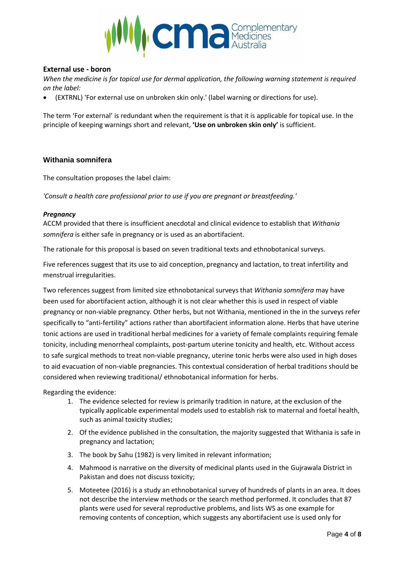

## **External use - boron**

*When the medicine is for topical use for dermal application, the following warning statement is required on the label:*

• (EXTRNL) 'For external use on unbroken skin only.' (label warning or directions for use).

The term 'For external' is redundant when the requirement is that it is applicable for topical use. In the principle of keeping warnings short and relevant, **'Use on unbroken skin only'** is sufficient.

### **Withania somnifera**

The consultation proposes the label claim:

*'Consult a health care professional prior to use if you are pregnant or breastfeeding.'*

#### *Pregnancy*

ACCM provided that there is insufficient anecdotal and clinical evidence to establish that *Withania somnifera* is either safe in pregnancy or is used as an abortifacient.

The rationale for this proposal is based on seven traditional texts and ethnobotanical surveys.

Five references suggest that its use to aid conception, pregnancy and lactation, to treat infertility and menstrual irregularities.

Two references suggest from limited size ethnobotanical surveys that *Withania somnifera* may have been used for abortifacient action, although it is not clear whether this is used in respect of viable pregnancy or non-viable pregnancy. Other herbs, but not Withania, mentioned in the in the surveys refer specifically to "anti-fertility" actions rather than abortifacient information alone. Herbs that have uterine tonic actions are used in traditional herbal medicines for a variety of female complaints requiring female tonicity, including menorrheal complaints, post-partum uterine tonicity and health, etc. Without access to safe surgical methods to treat non-viable pregnancy, uterine tonic herbs were also used in high doses to aid evacuation of non-viable pregnancies. This contextual consideration of herbal traditions should be considered when reviewing traditional/ ethnobotanical information for herbs.

Regarding the evidence:

- 1. The evidence selected for review is primarily tradition in nature, at the exclusion of the typically applicable experimental models used to establish risk to maternal and foetal health, such as animal toxicity studies;
- 2. Of the evidence published in the consultation, the majority suggested that Withania is safe in pregnancy and lactation;
- 3. The book by Sahu (1982) is very limited in relevant information;
- 4. Mahmood is narrative on the diversity of medicinal plants used in the Gujrawala District in Pakistan and does not discuss toxicity;
- 5. Moteetee (2016) is a study an ethnobotanical survey of hundreds of plants in an area. It does not describe the interview methods or the search method performed. It concludes that 87 plants were used for several reproductive problems, and lists WS as one example for removing contents of conception, which suggests any abortifacient use is used only for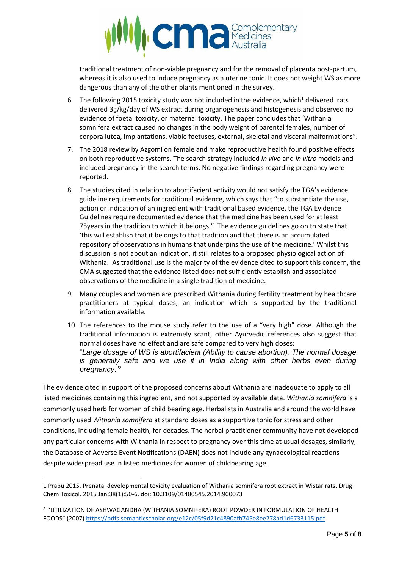

traditional treatment of non-viable pregnancy and for the removal of placenta post-partum, whereas it is also used to induce pregnancy as a uterine tonic. It does not weight WS as more dangerous than any of the other plants mentioned in the survey.

- 6. The following 2015 toxicity study was not included in the evidence, which<sup>1</sup> delivered rats delivered 3g/kg/day of WS extract during organogenesis and histogenesis and observed no evidence of foetal toxicity, or maternal toxicity. The paper concludes that 'Withania somnifera extract caused no changes in the body weight of parental females, number of corpora lutea, implantations, viable foetuses, external, skeletal and visceral malformations".
- 7. The 2018 review by Azgomi on female and make reproductive health found positive effects on both reproductive systems. The search strategy included *in vivo* and *in vitro* models and included pregnancy in the search terms. No negative findings regarding pregnancy were reported.
- 8. The studies cited in relation to abortifacient activity would not satisfy the TGA's evidence guideline requirements for traditional evidence, which says that "to substantiate the use, action or indication of an ingredient with traditional based evidence, the TGA Evidence Guidelines require documented evidence that the medicine has been used for at least 75years in the tradition to which it belongs." The evidence guidelines go on to state that 'this will establish that it belongs to that tradition and that there is an accumulated repository of observations in humans that underpins the use of the medicine.' Whilst this discussion is not about an indication, it still relates to a proposed physiological action of Withania. As traditional use is the majority of the evidence cited to support this concern, the CMA suggested that the evidence listed does not sufficiently establish and associated observations of the medicine in a single tradition of medicine.
- 9. Many couples and women are prescribed Withania during fertility treatment by healthcare practitioners at typical doses, an indication which is supported by the traditional information available.
- 10. The references to the mouse study refer to the use of a "very high" dose. Although the traditional information is extremely scant, other Ayurvedic references also suggest that normal doses have no effect and are safe compared to very high doses: "*Large dosage of WS is abortifacient (Ability to cause abortion). The normal dosage is generally safe and we use it in India along with other herbs even during pregnancy*." 2

The evidence cited in support of the proposed concerns about Withania are inadequate to apply to all listed medicines containing this ingredient, and not supported by available data. *Withania somnifera* is a commonly used herb for women of child bearing age. Herbalists in Australia and around the world have commonly used *Withania somnifera* at standard doses as a supportive tonic for stress and other conditions, including female health, for decades. The herbal practitioner community have not developed any particular concerns with Withania in respect to pregnancy over this time at usual dosages, similarly, the Database of Adverse Event Notifications (DAEN) does not include any gynaecological reactions despite widespread use in listed medicines for women of childbearing age.

<sup>1</sup> Prabu 2015. Prenatal developmental toxicity evaluation of Withania somnifera root extract in Wistar rats. [Drug](https://www.ncbi.nlm.nih.gov/pubmed/24649920)  [Chem Toxicol.](https://www.ncbi.nlm.nih.gov/pubmed/24649920) 2015 Jan;38(1):50-6. doi: 10.3109/01480545.2014.900073

<sup>2</sup> "UTILIZATION OF ASHWAGANDHA (WITHANIA SOMNIFERA) ROOT POWDER IN FORMULATION OF HEALTH FOODS" (2007) <https://pdfs.semanticscholar.org/e12c/05f9d21c4890afb745e8ee278ad1d6733115.pdf>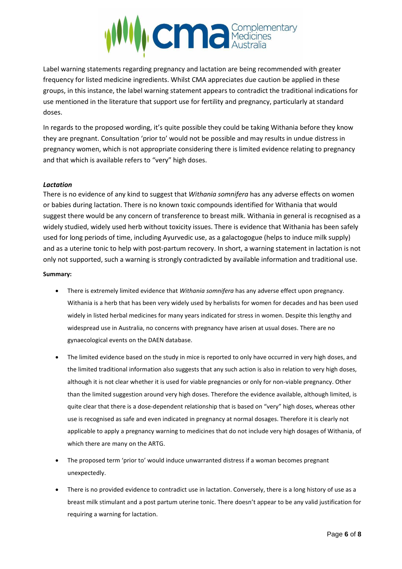

Label warning statements regarding pregnancy and lactation are being recommended with greater frequency for listed medicine ingredients. Whilst CMA appreciates due caution be applied in these groups, in this instance, the label warning statement appears to contradict the traditional indications for use mentioned in the literature that support use for fertility and pregnancy, particularly at standard doses.

In regards to the proposed wording, it's quite possible they could be taking Withania before they know they are pregnant. Consultation 'prior to' would not be possible and may results in undue distress in pregnancy women, which is not appropriate considering there is limited evidence relating to pregnancy and that which is available refers to "very" high doses.

#### *Lactation*

There is no evidence of any kind to suggest that *Withania somnifera* has any adverse effects on women or babies during lactation. There is no known toxic compounds identified for Withania that would suggest there would be any concern of transference to breast milk. Withania in general is recognised as a widely studied, widely used herb without toxicity issues. There is evidence that Withania has been safely used for long periods of time, including Ayurvedic use, as a galactogogue (helps to induce milk supply) and as a uterine tonic to help with post-partum recovery. In short, a warning statement in lactation is not only not supported, such a warning is strongly contradicted by available information and traditional use.

#### **Summary:**

- There is extremely limited evidence that *Withania somnifera* has any adverse effect upon pregnancy. Withania is a herb that has been very widely used by herbalists for women for decades and has been used widely in listed herbal medicines for many years indicated for stress in women. Despite this lengthy and widespread use in Australia, no concerns with pregnancy have arisen at usual doses. There are no gynaecological events on the DAEN database.
- The limited evidence based on the study in mice is reported to only have occurred in very high doses, and the limited traditional information also suggests that any such action is also in relation to very high doses, although it is not clear whether it is used for viable pregnancies or only for non-viable pregnancy. Other than the limited suggestion around very high doses. Therefore the evidence available, although limited, is quite clear that there is a dose-dependent relationship that is based on "very" high doses, whereas other use is recognised as safe and even indicated in pregnancy at normal dosages. Therefore it is clearly not applicable to apply a pregnancy warning to medicines that do not include very high dosages of Withania, of which there are many on the ARTG.
- The proposed term 'prior to' would induce unwarranted distress if a woman becomes pregnant unexpectedly.
- There is no provided evidence to contradict use in lactation. Conversely, there is a long history of use as a breast milk stimulant and a post partum uterine tonic. There doesn't appear to be any valid justification for requiring a warning for lactation.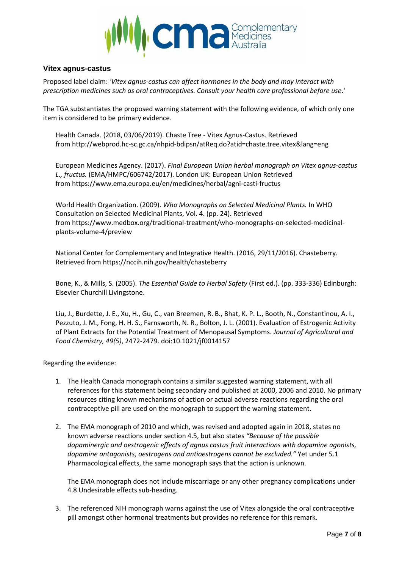

## **Vitex agnus-castus**

Proposed label claim: *'Vitex agnus-castus can affect hormones in the body and may interact with prescription medicines such as oral contraceptives. Consult your health care professional before use*.'

The TGA substantiates the proposed warning statement with the following evidence, of which only one item is considered to be primary evidence.

Health Canada. (2018, 03/06/2019). Chaste Tree - Vitex Agnus-Castus. Retrieved from <http://webprod.hc-sc.gc.ca/nhpid-bdipsn/atReq.do?atid=chaste.tree.vitex&lang=eng>

European Medicines Agency. (2017). *Final European Union herbal monograph on Vitex agnus-castus L., fructus.* (EMA/HMPC/606742/2017). London UK: European Union Retrieved from <https://www.ema.europa.eu/en/medicines/herbal/agni-casti-fructus>

World Health Organization. (2009). *Who Monographs on Selected Medicinal Plants.* In WHO Consultation on Selected Medicinal Plants, Vol. 4. (pp. 24). Retrieved from [https://www.medbox.org/traditional-treatment/who-monographs-on-selected-medicinal](https://www.medbox.org/traditional-treatment/who-monographs-on-selected-medicinal-plants-volume-4/preview)[plants-volume-4/preview](https://www.medbox.org/traditional-treatment/who-monographs-on-selected-medicinal-plants-volume-4/preview)

National Center for Complementary and Integrative Health. (2016, 29/11/2016). Chasteberry. Retrieved from <https://nccih.nih.gov/health/chasteberry>

Bone, K., & Mills, S. (2005). *The Essential Guide to Herbal Safety* (First ed.). (pp. 333-336) Edinburgh: Elsevier Churchill Livingstone.

Liu, J., Burdette, J. E., Xu, H., Gu, C., van Breemen, R. B., Bhat, K. P. L., Booth, N., Constantinou, A. I., Pezzuto, J. M., Fong, H. H. S., Farnsworth, N. R., Bolton, J. L. (2001). Evaluation of Estrogenic Activity of Plant Extracts for the Potential Treatment of Menopausal Symptoms. *Journal of Agricultural and Food Chemistry, 49(5)*, 2472-2479. doi:10.1021/jf0014157

Regarding the evidence:

- 1. The Health Canada monograph contains a similar suggested warning statement, with all references for this statement being secondary and published at 2000, 2006 and 2010. No primary resources citing known mechanisms of action or actual adverse reactions regarding the oral contraceptive pill are used on the monograph to support the warning statement.
- 2. The EMA monograph of 2010 and which, was revised and adopted again in 2018, states no known adverse reactions under section 4.5, but also states *"Because of the possible dopaminergic and oestrogenic effects of agnus castus fruit interactions with dopamine agonists, dopamine antagonists, oestrogens and antioestrogens cannot be excluded."* Yet under 5.1 Pharmacological effects, the same monograph says that the action is unknown.

The EMA monograph does not include miscarriage or any other pregnancy complications under 4.8 Undesirable effects sub-heading.

3. The referenced NIH monograph warns against the use of Vitex alongside the oral contraceptive pill amongst other hormonal treatments but provides no reference for this remark.